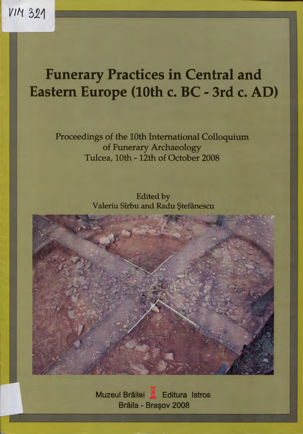# **Funerary Practices in Central and Eastern Europe (10th c.** BC - **3rd c.** AD)

Proceedings of the 10th International Colloquium of Funerary Archaeology Tulcea, 10th - 12th of October 2008

> Edited by Valeriu Sîrbu and Radu Ştefănescu



Muzeul Brăilei **X** Editura Istros Brăila - Brasov 2008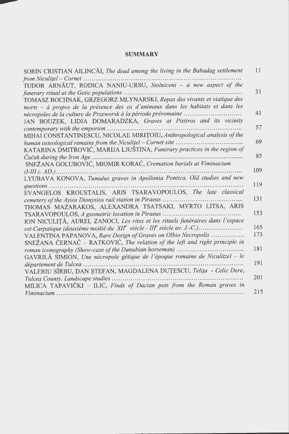## **SUMMARY**

| SORIN CRISTIAN AILINCĂI, The dead among the living in the Babadag settlement   | 11  |
|--------------------------------------------------------------------------------|-----|
|                                                                                |     |
| TUDOR ARNĂUT, RODICA NANIU-URSU, Stolniceni - a new aspect of the              | 31  |
|                                                                                |     |
| TOMASZ BOCHNAK, GRZEGORZ MŁYNARSKI, Repas des vivants et viatique des          |     |
| morts – à propos de la présence des os d'animaux dans les habitats et dans les | 41  |
|                                                                                |     |
| JAN BOUZEK, LIDIA DOMARADZKA, Graves at Pistiros and its vicinity              | 57  |
|                                                                                |     |
| MIHAI CONSTANTINESCU, NICOLAE MIRIȚOIU, Anthropological analysis of the        | 69  |
|                                                                                |     |
| KATARINA DMITROVIĆ, MARIJA LJUŠTINA, Funerary practices in the region of       |     |
|                                                                                | 85  |
| SNEŽANA GOLUBOVIĆ, MIOMIR KORAĆ, Cremation burials at Viminacium               |     |
|                                                                                | 109 |
| LYUBAVA KONOVA, Tumulus graves in Apollonia Pontica. Old studies and new       |     |
| $questions \dots \dots \dots \dots \dots$                                      | 119 |
| EVANGELOS KROUSTALIS, ARIS TSARAVOPOULOS, The late classical                   |     |
|                                                                                | 131 |
| THOMAS MAZARAKOS, ALEXANDRA TSATSAKI, MYRTO LITSA, ARIS                        |     |
|                                                                                | 153 |
| ION NICULIȚĂ, AUREL ZANOCI, Les rites et les rituels funéraires dans l'espace  |     |
|                                                                                | 165 |
| VALENTINA PAPANOVA, Rare Design of Graves on Olbio Necropolis                  | 173 |
| SNEŽANA ČERNAČ – RATKOVIĆ, The relation of the left and right principle in     |     |
|                                                                                | 181 |
| GAVRILĂ SIMION, Une nécropole gétique de l'époque romaine de Niculitzel - le   |     |
|                                                                                | 191 |
| VALERIU SÎRBU, DAN ŞTEFAN, MAGDALENA DUȚESCU, Telița - Celic Dere,             |     |
|                                                                                | 201 |
| MILICA TAPAVIČKI - ILIĆ, Finds of Dacian pots from the Roman graves in         |     |
|                                                                                | 215 |

 $\bar{z}$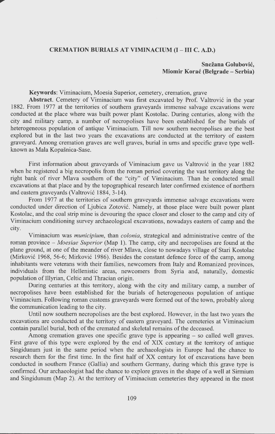#### **CREMATION BURIALS AT VIMINACIUM** (I - **III C. A.D.)**

## **Snezana Golubovic, Miomir Korac (Belgrade - Serbia)**

### **Keywords:** Viminacium, Moesia Superior, cemetery, cremation, grave

**Abstract.** Cemetery of Viminacium was first excavated by Prof. Valtrovic in the year 1882. From 1977 at the territories of southern graveyards immense salvage excavations were conducted at the place where was built power plant Kostolac. During centuries, along with the city and military camp, a number of necropolises have been established for the burials of heterogeneous population of antique Viminacium. Till now southern necropolises are the best explored but in the last two years the excavations are conducted at the territory of eastern graveyard. Among cremation graves are well graves, burial in urns and specific grave type wellknown as Mala Kopašnica-Sase.

First information about graveyards of Viminacium gave us Valtrovic in the year 1882 when he registered a big necropolis from the roman period covering the vast territory along the right bank of river Mlava southern of the "city" of Viminacium. Than he conducted small excavations at that place and by the topographical research later confirmed existence of northern and eastern graveyards (Valtrovic 1884, 3-14).

From 1977 at the territories of southern graveyards immense salvage excavations were conducted under direction of Ljubica Zotovic. Namely, at those place were built power plant Kostolac, and the coal strip mine is devouring the space closer and closer to the camp and city of Viminacium conditioning survey archaeological excavations, nowadays eastern of camp and the city.

Viminacium was *municipium,* than *colonia,* strategical and administrative centre of the roman province – *Moesiae Superior* (Map 1). The camp, city and necropolises are found at the plane ground, at one of the meander of river Mlava, close to nowadays village of Stari Kostolac (Mirkovic 1968, 56-6; Mirkovic 1986). Besides the constant defence force of the camp, among inhabitants were veterans with their families, newcomers from Italy and Romanized provinces, individuals from the Hellenistic areas, newcomers from Syria and, naturally, domestic population of Illyrian, Celtic and Thracian origin.

During centuries at this territory, along with the city and military camp, a number of necropolises have been established for the burials of heterogeneous population of antique Viminacium. Following roman customs graveyards were formed out of the town, probably along the communication leading to the city.

Until now southern necropolises are the best explored. However, in the last two years the excavations are conducted at the territory of eastern graveyard. The cemeteries at Viminacium contain parallel burial, both of the cremated and skeletal remains of the deceased.

Among cremation graves one specific grave type is appearing – so called well graves. First grave of this type were explored by the end of XIX century at the territory of antique Singidunum just in the same period when the archaeologists in Europe had the chance to research them for the first time. In the first half of XX century lot of excavations have been conducted in southern France (Gallia) and southern Germany, during which this grave type is confirmed. Our archaeologist had the chance to explore graves in the shape of a well at Sirmium and Singidunum (Map 2). At the territory of Viminacium cemeteries they appeared in the most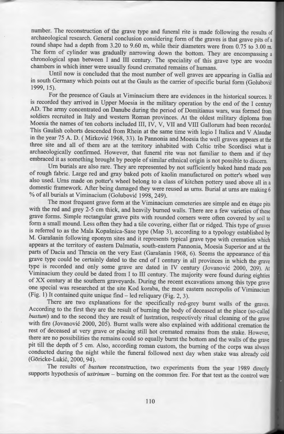number. The reconstruction of the grave type and funeral rite is made following the results of archaeological research. General conclusion considering form of the graves is that grave pits of a round shape had a depth from 3.20 to 9.60 m, while their diameters were from 0.75 to 3.00 m. The form of cylinder was gradually narrowing down the bottom. They are encompassing a chronological span between I and III century. The speciality of this grave type are wooden chambers in which inner were usually found cremated remains of humans.

Until now is concluded that the most number of well graves are appearing in Gallia and in south Germany which points out at the Gauls as the carrier of specific burial form (Golubovic 1999, 15).

For the presence of Gauls at Viminacium there are evidences in the historical sources. It is recorded they arrived in Upper Moesia in the military operation by the end of the I century AD. The army concentrated on Danube during the period of Domitianus wars, was formed from soldiers recruited in Italy and western Roman provinces. At the oldest military diploma from Moesia the names of ten cohorts included III, IV, V, VII and VIII Gallorum had been recorded. This Gaulish cohorts descended from Rhein at the same time with legio I Italica and V Alaudae in the year 75 A. D. ( Mirkovic 1968, 33). In Pannonia and Moesia the well graves appears at the three site and all of them are at the territory inhabited with Celtic tribe Scordisci what is archaeologically confirmed. However, that funeral rite was not familiar to them and if they embraced it as something brought by people of similar ethnical origin is not possible to discern.

Um burials are also rare. They are represented by not sufficiently baked hand made pots of rough fabric. Large red and gray baked pots of kaolin manufactured on potter's wheel were also used. Urns made on potter's wheel belong to a class of kitchen pottery used above all in a domestic framework. After being damaged they were reused as urns. Burial at urns are making 6 % of all burials at Viminacium (Golubovic 1998, 249).

The most frequent grave form at the Viminacium cemeteries are simple and en etage pits with the red and grey 2-5 cm thick, and heavily burned walls. There are a few varieties of these grave forms. Simple rectangular grave pits with rounded comers were often covered by soil to form a small mound. Less often they had a tile covering, either flat or ridged. This type of graves is referred to as the Mala Kopasnica-Sase type (Map 3), according to a typology established by M. Garašanin following eponym sites and it represents typical grave type with cremation which appears at the territory of eastern Dalmatia, south-eastern Pannonia, Moesia Superior and at the parts of Dacia and Thracia on the very East (Garašanin 1968, 6). Seems the appearance of this grave type could be certainly dated to the end of I century in all provinces in which the grave type is recorded and only some grave are dated in IV century (Jovanovic 2000, 209). At Viminacium they could be dated from I to III century. The majority were found during eighties of XX century at the southern graveyards. During the recent excavations among this type grave one special was researched at the site Kod koraba, the most eastern necropolis of Viminacium (Fig. 1) It contained quite unique find- led reliquary (Fig. 2, 3).

There are two explanations for the specifically red-grey burnt walls of the graves. According to the first they are the result of burning the body of deceased at the place (so-called *bus tum)* and to the second they are result of lustration, respectively ritual cleaning of the grave with fire (Jovanović 2000, 205). Burnt walls were also explained with additional cremation the rest of deceased at very grave or placing still hot cremated remains from the stake. However, there are no possibilities the remains could so equally burnt the bottom and the walls of the grave pit till the depth of 5 cm. Also, according roman custom, the burning of the corps was always conducted during the night while the funeral followed next day when stake was already cold (Goricke-Lukic, 2000, 94).

The results of *bustum* reconstruction, two experiments from the year 1989 directly supports hypothesis of *ustrinum* - burning on the common fire. For that test as the control were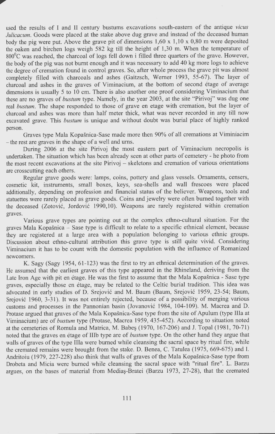used the results of I and II century bustums excavations south-eastern of the antique *vicus Julicacum*. Goods were placed at the stake above dug grave and instead of the deceased human body the pig were put. Above the grave pit of dimensions 1,60 x 1,10 x 0,80 m were deposited the oaken and birchen logs weigh 582 kg till the height of 1,30 m. When the temperature of 800°C was reached, the charcoal of logs fell down i filled three quarters of the grave. However, the body of the pig was not burnt enough and it was necessary to add 40 kg more logs to achieve the degree of cremation found in control graves. So, after whole process the grave pit was almost completely filled with charcoals and ashes (Gaitzsch, Werner 1993, 55-67). The layer of charcoal and ashes in the graves of Viminacium, at the bottom of second étage of average dimensions is usually 5 to 10 cm. There is also another one proof considering Viminacium that these are no graves of *bustum* type. Namely, in the year 2003, at the site "Pirivoj" was dug one real *bustum.* The shape responded to those of grave en etage with cremation, but the layer of charcoal and ashes was more than half meter thick, what was never recorded in any till now excavated grave. This *bustum* is unique and without doubt was burial place of highly ranked person.

Graves type Mala Kopašnica-Sase made more then 90% of all cremations at Viminiacim - the rest are graves in the shape of a well and urns.

During 2006 at the site Pirivoj the most eastern part of Viminacium necropolis is undertaken. The situation which has been already seen at other parts of cemetery - he photo from the most recent excavations at the site Pirivoj - skeletons and cremation of various orientations are crosscutting each others.

Regular grave goods were: lamps, coins, pottery and glass vessels. Ornaments, censers, cosmetic kit, instruments, small boxes, keys, sea-shells and wall frescoes were placed additionally, depending on profession and financial status of the believer. Weapons, tools and statuettes were rarely placed as grave goods. Coins and jewelry were often burned together with the deceased (Zotovic, Jordovic 1990,10). Weapons are rarely registered within cremation graves.

Various grave types are pointing out at the complex ethno-cultural situation. For the graves Mala Kopasnica - Sase type is difficult to relate to a specific ethnical element, because they are registered at a large area with a population belonging to various ethnic groups. Discussion about ethno-cultural attribution this grave type is still quite vivid. Considering Viminacium it has to be count with the domestic population with the influence of Romanized newcomers.

K. Sagy (Sagy 1954, 61-123) was the first to try an ethnical determination of the graves. He assumed that the earliest graves of this type appeared in the Rhineland, deriving from the Late Iron Age with pit en étage. He was the first to assume that the Mala Kopašnica - Sase type graves, especially those en etage, may be related to the Celtic burial tradition. This idea was advocated in early studies of D. Srejovic and M. Baum (Baum, Srejovic 1959, 23-54; Baum, Srejović 1960, 3-31). It was not entirely rejected, because of a possibility of merging various customs and processes in the Pannonian basin (Jovanovic 1984, 104-109). M. Macrea and D. Protase argued that graves of the Mala Kopašnica-Sase type from the site of Apulum (type IIIa at Viminacium) are of *bustum* type (Protase, Macrea 1959, 435-452). According to situation noted at the cemeteries of Romula and Matrica, M. Babes  $(1970, 167-206)$  and J. Topal  $(1981, 70-71)$ noted that the graves en etage of IIIb type are of *bustum* type. On the other hand they argue that walls of graves of the type Illa were burned while cleansing the sacral space by ritual fire, while the cremated remains were brought from the stake. D. Benea, C. Tatulea (1975, 669-675) and I. Andritoiu (1979, 227-228) also think that walls of graves of the Mala Kopašnica-Sase type from Drobeta and Micia were burned while cleansing the sacral space with "ritual fire". L. Barzu argues, on the bases of material from Medias-Bratei (Barzu 1973, 27-28), that the cremated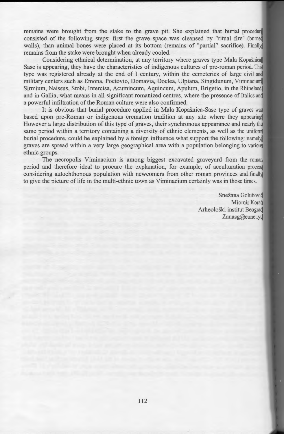remains were brought from the stake to the grave pit. She explained that burial procedure consisted of the following steps: first the grave space was cleansed by "ritual fire" (burned walls), than animal bones were placed at its bottom (remains of "partial" sacrifice). Finally remains from the stake were brought when already cooled.

Considering ethnical determination, at any territory where graves type Mala Kopašnica Sase is appearing, they have the characteristics of indigenous cultures of pre-roman period. This type was registered already at the end of I century, within the cemeteries of large civil and military centers such as Emona, Poetovio, Domavia, Doclea, Ulpiana, Singidunum, Viminacium, Sirmium, Naissus, Stobi, Intercisa, Acumincum, Aquincum, Apulum, Brigetio, in the Rhineland, and in Gallia, what means in all significant romanized centres, where the presence of Italics and a powerful infiltration of the Roman culture were also confirmed.

It is obvious that burial procedure applied in Mala Kopasnica-Sase type of graves was based upon pre-Roman or indigenous cremation tradition at any site where they appearing However a large distribution of this type of graves, their synchronous appearance and nearly the same period within a territory containing a diversity of ethnic elements, as well as the uniform burial procedure, could be explained by a foreign influence what support the following: namely graves are spread within a very large geographical area with a population belonging to various ethnic groups.

The necropolis Viminacium is among biggest excavated graveyard from the roman period and therefore ideal to procure the explanation, for example, of acculturation process considering autochthonous population with newcomers from other roman provinces and finally to give the picture of life in the multi-ethnic town as Viminacium certainly was in those times.

> Snežana Golubović Miomir Korać Arheoloski institut Beograd Zanasg@eunet.yd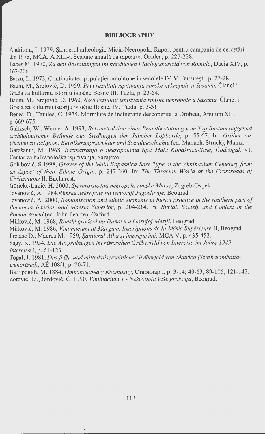#### **BIBLIOGRAPHY**

Andritoiu, I. 1979, Șantierul arheologic Micia-Necropola. Raport pentru campania de cercetări din 1978, MCA, A XIII-a Sesiune anuala da rapoarte, Oradea, p. 227-228.

Babeş M. 1970, Zu den Bestattungen im nördlichen Flachgräberfeld von Romula, Dacia XIV, p. 167-206.

Barzu, L. 1973, Continuitatea populației autohtone în secolele IV-V, București, p. 27-28.

Baum, M., Srejovic, D. 1959, *Prvi rezultati ispitivanja rimske nekropole u Sasama,* Cianci i Građa za kulturnu istoriju istočne Bosne III, Tuzla, p. 23-54.

Baum, M., Srejovic, D. 1960, *Novi rezultati ispitivanja rimske nekropole u Sasama,* Cianci i Grada za kultumu istoriju istocne Bosne, IV, Tuzla, p. 3-31.

Benea, D., Tatulea, C. 1975, Morminte de incineratie descoperite la Drobeta, Apulum XIII, p. 669-675.

Gaitzsch, W., Werner A. 1993, *Rekonstruktion einer Brandbestattung vom Typ Bustum aufgrund archaologischer Befunde aus Siedlungen der Julicher LojJborde,* p. 55-67. In: *Graber als Quellen zu Religion, Bevolkerungsstruktur und Sozialgeschichte* (ed. Manuela Struck), Mainz.

Gara8anin, M. 1968, *Razmatranja o nekropolama tipa Mala Kopa§nica-Sase, Godi§njak* VI, Centar za balkanoloska ispitivanja, Sarajevo.

Golubović, S.1998, *Graves of the Mala Kopašnica-Sase Type at the Viminacium Cemetery from an Aspect of their Ethnic Origin,* p. 247-260. In: *The Thracian World at the Crossroads of Civilizations* II, Bucharest.

Goricke-Lukic, H. 2000, *Sjeveroistocna nekropola rimske Murse,* Zagreb-Osijek.

Jovanovic, A. *1984,Rimske nekropole na teritoriji Jugoslavije,* Beograd.

Jovanovic, A. 2000, *Romanization and ethnic elements in burial practice in the southern part of Pannonia Inferior and Moesia Superior,* p. 204-214. In: *Burial, Society and Context in the Roman World* (ed. John Pearce), Oxford.

Mirkovic, M. 1968, *Rimski gradovi na Dunavu u Gornjoj Meziji,* Beograd.

Mirkovic, M. 1986, *Viminacium at Margum, Inscriptions de la Mesie Superieure* II, Beograd. Protase D., Macrea M. 1959, *Santierul Alba §i fmprejurimi,* MCA V, p. 435-452.

Sagy, K. 1954, *Die Ausgrabungen im römischen Gräberfeld von Intercisa im Jahre 1949*, *lntercisa* I, p. 61-123.

Topal, J. 1981, *Das früh- und mittelkaiserzeitliche Gräberfeld von Matrica (Százhalombatta-Dunafiired),* AE 108/1, p. 70-71.

Валтровић, М. 1884, *Откопавања у Костолцу*, Старинар I, р. 3-14; 49-63; 89-105; 121-142. Zotovic, Lj., Jordovic, C. 1990, *Viminacium* 1 - *Nekropola Vise grobalja,* Beograd.

 $\overline{a}$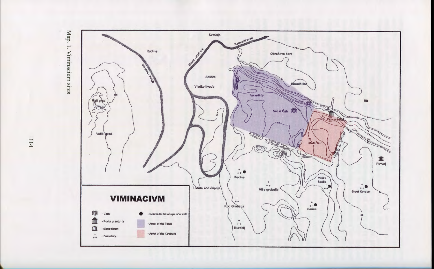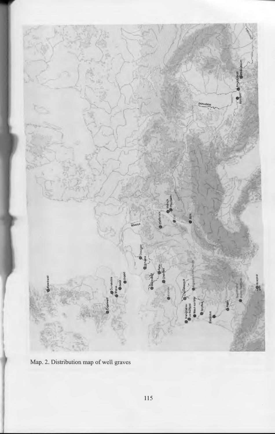

Map. 2. Distribution map of well graves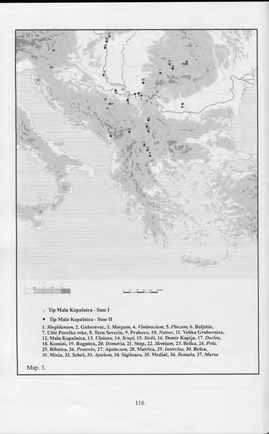